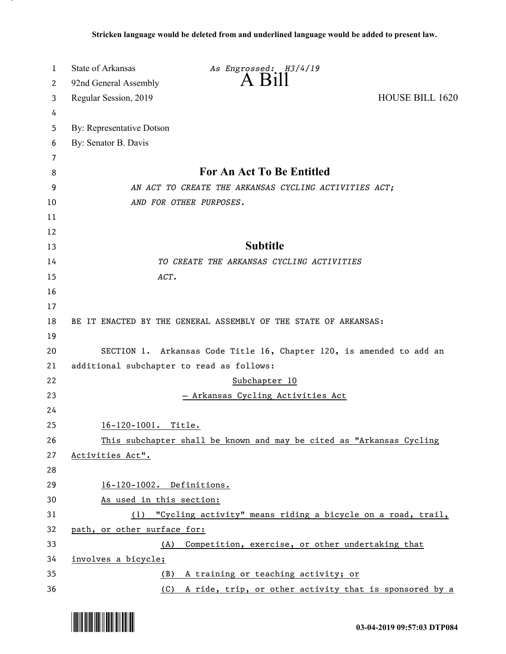| 1        | <b>State of Arkansas</b><br>As Engrossed: H3/4/19                                           |                        |
|----------|---------------------------------------------------------------------------------------------|------------------------|
| 2        | $A$ Bill<br>92nd General Assembly                                                           |                        |
| 3        | Regular Session, 2019                                                                       | <b>HOUSE BILL 1620</b> |
| 4        |                                                                                             |                        |
| 5        | By: Representative Dotson                                                                   |                        |
| 6        | By: Senator B. Davis                                                                        |                        |
| 7        |                                                                                             |                        |
| 8        | <b>For An Act To Be Entitled</b>                                                            |                        |
| 9        | AN ACT TO CREATE THE ARKANSAS CYCLING ACTIVITIES ACT;                                       |                        |
| 10       | AND FOR OTHER PURPOSES.                                                                     |                        |
| 11       |                                                                                             |                        |
| 12       |                                                                                             |                        |
| 13       | <b>Subtitle</b>                                                                             |                        |
| 14       | TO CREATE THE ARKANSAS CYCLING ACTIVITIES                                                   |                        |
| 15       | ACT.                                                                                        |                        |
| 16       |                                                                                             |                        |
| 17       |                                                                                             |                        |
| 18       | BE IT ENACTED BY THE GENERAL ASSEMBLY OF THE STATE OF ARKANSAS:                             |                        |
| 19       |                                                                                             |                        |
| 20       | SECTION 1. Arkansas Code Title 16, Chapter 120, is amended to add an                        |                        |
| 21       | additional subchapter to read as follows:                                                   |                        |
| 22       | Subchapter 10                                                                               |                        |
| 23       | - Arkansas Cycling Activities Act                                                           |                        |
| 24       |                                                                                             |                        |
| 25       | 16-120-1001. Title.                                                                         |                        |
| 26       | This subchapter shall be known and may be cited as "Arkansas Cycling                        |                        |
| 27       | Activities Act".                                                                            |                        |
| 28       |                                                                                             |                        |
| 29<br>30 | 16-120-1002. Definitions.                                                                   |                        |
| 31       | As used in this section:<br>(1) "Cycling activity" means riding a bicycle on a road, trail, |                        |
| 32       | path, or other surface for:                                                                 |                        |
| 33       | (A) Competition, exercise, or other undertaking that                                        |                        |
| 34       | involves a bicycle;                                                                         |                        |
| 35       | (B) A training or teaching activity; or                                                     |                        |
| 36       | (C) A ride, trip, or other activity that is sponsored by a                                  |                        |

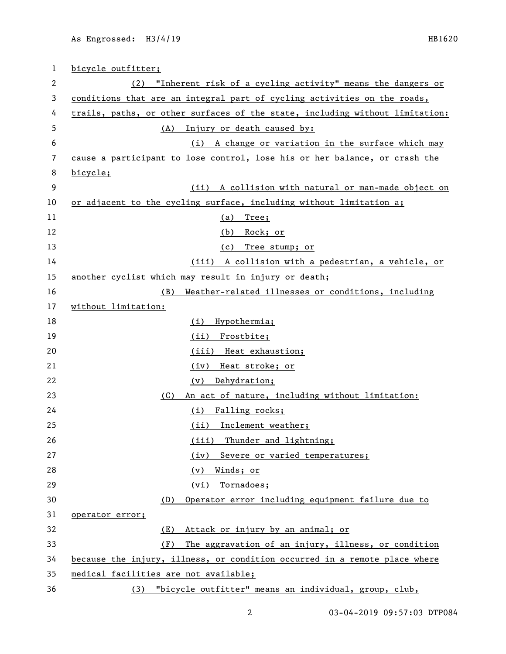| 1  | bicycle outfitter;                                                           |  |
|----|------------------------------------------------------------------------------|--|
| 2  | (2) "Inherent risk of a cycling activity" means the dangers or               |  |
| 3  | conditions that are an integral part of cycling activities on the roads,     |  |
| 4  | trails, paths, or other surfaces of the state, including without limitation: |  |
| 5  | Injury or death caused by:<br>(A)                                            |  |
| 6  | A change or variation in the surface which may<br>(i)                        |  |
| 7  | cause a participant to lose control, lose his or her balance, or crash the   |  |
| 8  | bicycle;                                                                     |  |
| 9  | (ii) A collision with natural or man-made object on                          |  |
| 10 | or adjacent to the cycling surface, including without limitation a;          |  |
| 11 | Tree;<br><u>(a)</u>                                                          |  |
| 12 | (b) Rock; or                                                                 |  |
| 13 | Tree stump; or<br>(c)                                                        |  |
| 14 | (iii) A collision with a pedestrian, a vehicle, or                           |  |
| 15 | another cyclist which may result in injury or death;                         |  |
| 16 | Weather-related illnesses or conditions, including<br>(B)                    |  |
| 17 | without limitation:                                                          |  |
| 18 | Hypothermia;<br>(i)                                                          |  |
| 19 | (ii) Frostbite;                                                              |  |
| 20 | (iii) Heat exhaustion;                                                       |  |
| 21 | Heat stroke; or<br>(iv)                                                      |  |
| 22 | Dehydration;<br>(v)                                                          |  |
| 23 | An act of nature, including without limitation:<br>(C)                       |  |
| 24 | Falling rocks;<br>(i)                                                        |  |
| 25 | (ii) Inclement weather;                                                      |  |
| 26 | (iii) Thunder and lightning;                                                 |  |
| 27 | Severe or varied temperatures;<br>(iv)                                       |  |
| 28 | Winds; or<br>(v)                                                             |  |
| 29 | (vi) Tornadoes;                                                              |  |
| 30 | Operator error including equipment failure due to<br>(D)                     |  |
| 31 | operator error;                                                              |  |
| 32 | Attack or injury by an animal; or<br>(E)                                     |  |
| 33 | (F)<br>The aggravation of an injury, illness, or condition                   |  |
| 34 | because the injury, illness, or condition occurred in a remote place where   |  |
| 35 | medical facilities are not available;                                        |  |
| 36 | "bicycle outfitter" means an individual, group, club,<br>(3)                 |  |

03-04-2019 09:57:03 DTP084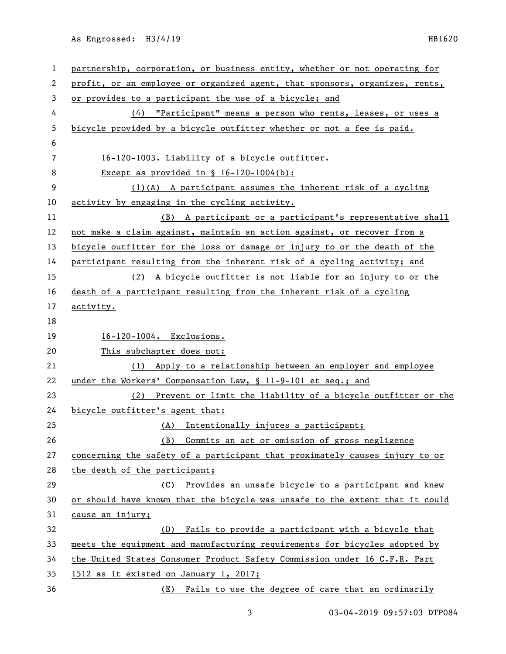As Engrossed: H3/4/19 HB1620

| 1  | partnership, corporation, or business entity, whether or not operating for   |  |
|----|------------------------------------------------------------------------------|--|
| 2  | profit, or an employee or organized agent, that sponsors, organizes, rents,  |  |
| 3  | or provides to a participant the use of a bicycle; and                       |  |
| 4  | (4) "Participant" means a person who rents, leases, or uses a                |  |
| 5  | bicycle provided by a bicycle outfitter whether or not a fee is paid.        |  |
| 6  |                                                                              |  |
| 7  | 16-120-1003. Liability of a bicycle outfitter.                               |  |
| 8  | Except as provided in $\S$ 16-120-1004(b):                                   |  |
| 9  | $(1)(A)$ A participant assumes the inherent risk of a cycling                |  |
| 10 | activity by engaging in the cycling activity.                                |  |
| 11 | (B) A participant or a participant's representative shall                    |  |
| 12 | not make a claim against, maintain an action against, or recover from a      |  |
| 13 | bicycle outfitter for the loss or damage or injury to or the death of the    |  |
| 14 | participant resulting from the inherent risk of a cycling activity; and      |  |
| 15 | (2) A bicycle outfitter is not liable for an injury to or the                |  |
| 16 | death of a participant resulting from the inherent risk of a cycling         |  |
| 17 | activity.                                                                    |  |
| 18 |                                                                              |  |
|    |                                                                              |  |
| 19 | 16-120-1004. Exclusions.                                                     |  |
| 20 | This subchapter does not:                                                    |  |
| 21 | (1) Apply to a relationship between an employer and employee                 |  |
| 22 | under the Workers' Compensation Law, § 11-9-101 et seq.; and                 |  |
| 23 | (2) Prevent or limit the liability of a bicycle outfitter or the             |  |
| 24 | bicycle outfitter's agent that:                                              |  |
| 25 | (A) Intentionally injures a participant;                                     |  |
| 26 | Commits an act or omission of gross negligence<br>(B)                        |  |
| 27 | concerning the safety of a participant that proximately causes injury to or  |  |
| 28 | the death of the participant;                                                |  |
| 29 | Provides an unsafe bicycle to a participant and knew<br>(C)                  |  |
| 30 | or should have known that the bicycle was unsafe to the extent that it could |  |
| 31 | cause an injury;                                                             |  |
| 32 | Fails to provide a participant with a bicycle that<br>(D)                    |  |
| 33 | meets the equipment and manufacturing requirements for bicycles adopted by   |  |
| 34 | the United States Consumer Product Safety Commission under 16 C.F.R. Part    |  |
| 35 | 1512 as it existed on January 1, 2017;                                       |  |

3 03-04-2019 09:57:03 DTP084